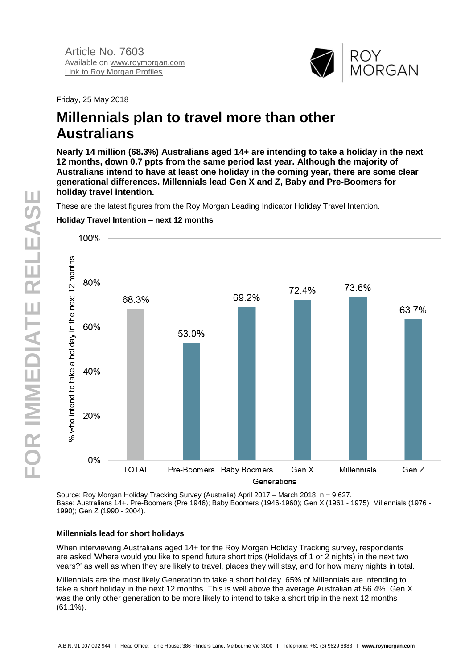

Friday, 25 May 2018

# **Millennials plan to travel more than other Australians**

**Nearly 14 million (68.3%) Australians aged 14+ are intending to take a holiday in the next 12 months, down 0.7 ppts from the same period last year. Although the majority of Australians intend to have at least one holiday in the coming year, there are some clear generational differences. Millennials lead Gen X and Z, Baby and Pre-Boomers for holiday travel intention.**

These are the latest figures from the Roy Morgan Leading Indicator Holiday Travel Intention.



# **Holiday Travel Intention – next 12 months**

Source: Roy Morgan Holiday Tracking Survey (Australia) April 2017 – March 2018, n = 9,627. Base: Australians 14+. Pre-Boomers (Pre 1946); Baby Boomers (1946-1960); Gen X (1961 - 1975); Millennials (1976 - 1990); Gen Z (1990 - 2004).

## **Millennials lead for short holidays**

When interviewing Australians aged 14+ for the Roy Morgan Holiday Tracking survey, respondents are asked 'Where would you like to spend future short trips (Holidays of 1 or 2 nights) in the next two years?' as well as when they are likely to travel, places they will stay, and for how many nights in total.

Millennials are the most likely Generation to take a short holiday. 65% of Millennials are intending to take a short holiday in the next 12 months. This is well above the average Australian at 56.4%. Gen X was the only other generation to be more likely to intend to take a short trip in the next 12 months (61.1%).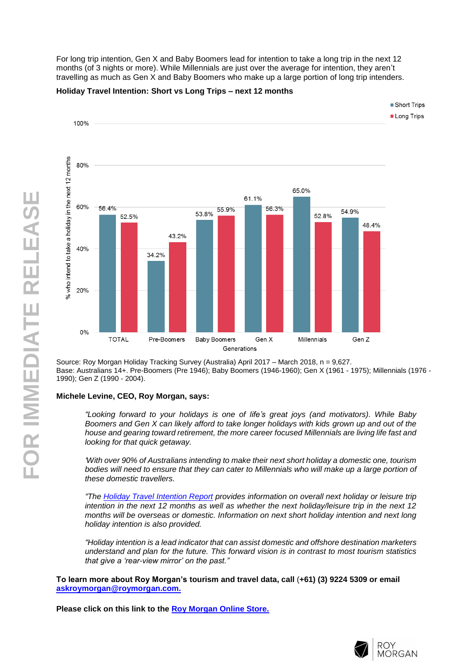For long trip intention, Gen X and Baby Boomers lead for intention to take a long trip in the next 12 months (of 3 nights or more). While Millennials are just over the average for intention, they aren 't travelling as much as Gen X and Baby Boomers who make up a large portion of long trip intenders.

#### **Holiday Travel Intention : Short vs Long Trips – next 12 months**



Source: Roy Morgan Holiday Tracking Survey (Australia) April 2017 – March 2018, n = 9,627 . Base: Australians 14+. Pre-Boomers (Pre 1946); Baby Boomers (1946-1960); Gen X (1961 - 1975); Millennials (1976 -1990); Gen Z (1990 - 2004) .

## **Michele Levine, CEO, Roy Morgan, says :**

*"Looking forward to your holidays is one of life's great joys (and motivators). While Baby Boomers and Gen X can likely afford to take longer holidays with kids grown up and out of the house and gearing toward retirement, the more career focused Millennials are living life fast and looking for that quick getaway.*

*'With over 90% of Australians intending to make their next short holiday a domestic one, tourism bodies will need to ensure that they can cater to Millennials who will make up a large portion of these domestic travellers.*

*"The [Holiday Travel Intention Report](http://www.roymorganonlinestore.com/Browse/Australia/Travel-and-Tourism/Holiday-Intention-Reports/Roy-Morgan-Leading-Indicator-Report-Holiday-Travel.aspx) provides information on overall next holiday or leisure trip intention in the next 12 months as well as whether the next holiday/leisure trip in the next 12 months will be overseas or domestic. Information on next short holiday intention and next long* 

*holiday intention is also provided. "Holiday intention is a lead indicator that can assist domestic and offshore destination marketers understand and plan for the future. This forward vision is in contrast to most tourism statistics that give a 'rear -view mirror' on the past. "*

**To learn more about Roy Morgan's tourism and travel data, call**  (**+61) (3) 9224 5309 or email [askroymorgan@roymorgan.com](mailto:askroymorgan@roymorgan.com) .**

**Please click on this link to the [Roy Morgan Online Store](http://www.roymorganonlinestore.com/) .**